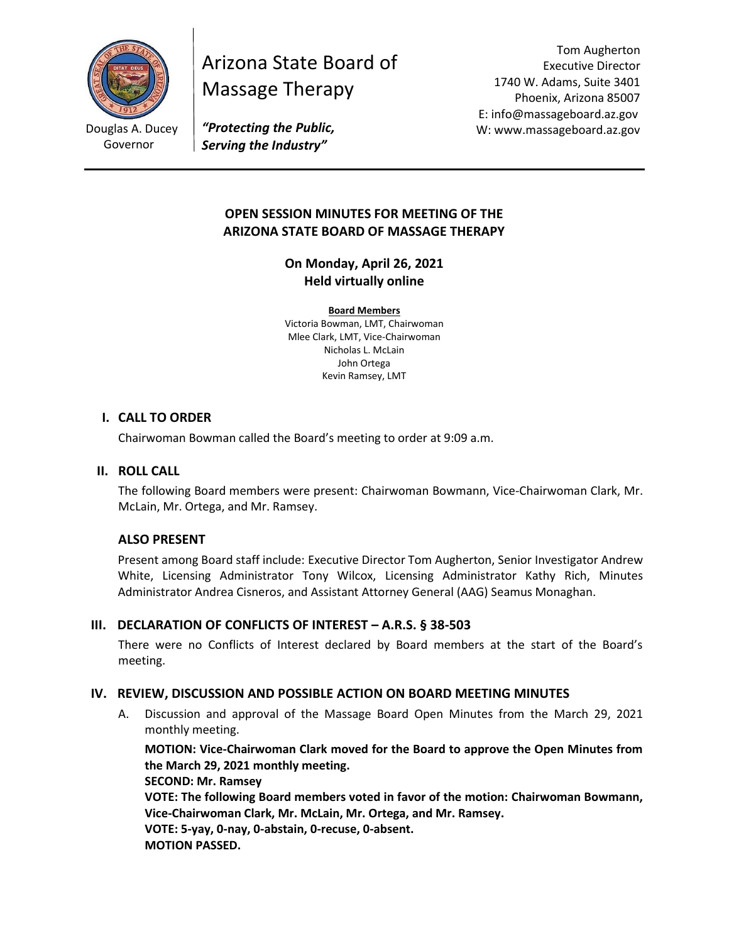

Governor

# Arizona State Board of Massage Therapy

Tom Augherton Executive Director 1740 W. Adams, Suite 3401 Phoenix, Arizona 85007 E: info@massageboard.az.gov W: www.massageboard.az.gov

*"Protecting the Public, Serving the Industry"*

# **OPEN SESSION MINUTES FOR MEETING OF THE ARIZONA STATE BOARD OF MASSAGE THERAPY**

**On Monday, April 26, 2021 Held virtually online** 

**Board Members** Victoria Bowman, LMT, Chairwoman Mlee Clark, LMT, Vice-Chairwoman Nicholas L. McLain John Ortega Kevin Ramsey, LMT

#### **I. CALL TO ORDER**

Chairwoman Bowman called the Board's meeting to order at 9:09 a.m.

#### **II. ROLL CALL**

The following Board members were present: Chairwoman Bowmann, Vice-Chairwoman Clark, Mr. McLain, Mr. Ortega, and Mr. Ramsey.

## **ALSO PRESENT**

Present among Board staff include: Executive Director Tom Augherton, Senior Investigator Andrew White, Licensing Administrator Tony Wilcox, Licensing Administrator Kathy Rich, Minutes Administrator Andrea Cisneros, and Assistant Attorney General (AAG) Seamus Monaghan.

## **III.** DECLARATION OF CONFLICTS OF INTEREST – A.R.S. § 38-503

There were no Conflicts of Interest declared by Board members at the start of the Board's meeting.

## **IV. REVIEW, DISCUSSION AND POSSIBLE ACTION ON BOARD MEETING MINUTES**

A. Discussion and approval of the Massage Board Open Minutes from the March 29, 2021 monthly meeting.

**MOTION: Vice-Chairwoman Clark moved for the Board to approve the Open Minutes from the March 29, 2021 monthly meeting. SECOND: Mr. Ramsey** 

**VOTE: The following Board members voted in favor of the motion: Chairwoman Bowmann, Vice-Chairwoman Clark, Mr. McLain, Mr. Ortega, and Mr. Ramsey.**

**VOTE: 5-yay, 0-nay, 0-abstain, 0-recuse, 0-absent. MOTION PASSED.**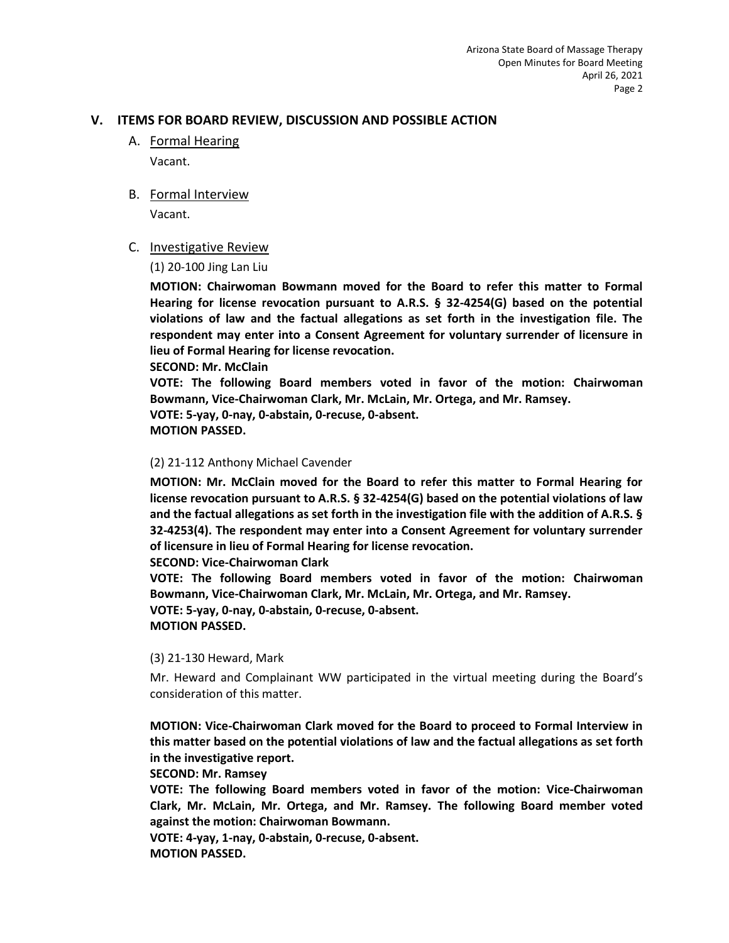### **V. ITEMS FOR BOARD REVIEW, DISCUSSION AND POSSIBLE ACTION**

A. Formal Hearing Vacant.

#### B. Formal Interview

Vacant.

#### C. Investigative Review

(1) 20-100 Jing Lan Liu

**MOTION: Chairwoman Bowmann moved for the Board to refer this matter to Formal Hearing for license revocation pursuant to A.R.S. § 32-4254(G) based on the potential violations of law and the factual allegations as set forth in the investigation file. The respondent may enter into a Consent Agreement for voluntary surrender of licensure in lieu of Formal Hearing for license revocation.** 

**SECOND: Mr. McClain** 

**VOTE: The following Board members voted in favor of the motion: Chairwoman Bowmann, Vice-Chairwoman Clark, Mr. McLain, Mr. Ortega, and Mr. Ramsey. VOTE: 5-yay, 0-nay, 0-abstain, 0-recuse, 0-absent. MOTION PASSED.** 

#### (2) 21-112 Anthony Michael Cavender

**MOTION: Mr. McClain moved for the Board to refer this matter to Formal Hearing for license revocation pursuant to A.R.S. § 32-4254(G) based on the potential violations of law and the factual allegations as set forth in the investigation file with the addition of A.R.S. § 32-4253(4). The respondent may enter into a Consent Agreement for voluntary surrender of licensure in lieu of Formal Hearing for license revocation.**

#### **SECOND: Vice-Chairwoman Clark**

**VOTE: The following Board members voted in favor of the motion: Chairwoman Bowmann, Vice-Chairwoman Clark, Mr. McLain, Mr. Ortega, and Mr. Ramsey. VOTE: 5-yay, 0-nay, 0-abstain, 0-recuse, 0-absent. MOTION PASSED.** 

#### (3) 21-130 Heward, Mark

Mr. Heward and Complainant WW participated in the virtual meeting during the Board's consideration of this matter.

**MOTION: Vice-Chairwoman Clark moved for the Board to proceed to Formal Interview in this matter based on the potential violations of law and the factual allegations as set forth in the investigative report.** 

#### **SECOND: Mr. Ramsey**

**VOTE: The following Board members voted in favor of the motion: Vice-Chairwoman Clark, Mr. McLain, Mr. Ortega, and Mr. Ramsey. The following Board member voted against the motion: Chairwoman Bowmann.** 

**VOTE: 4-yay, 1-nay, 0-abstain, 0-recuse, 0-absent. MOTION PASSED.**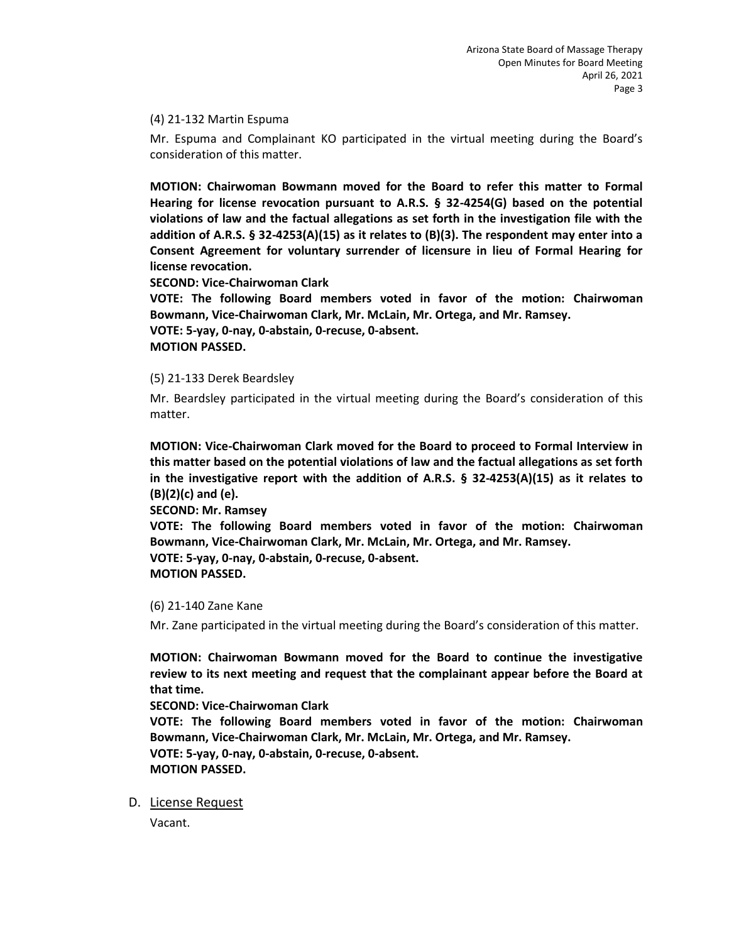(4) 21-132 Martin Espuma

Mr. Espuma and Complainant KO participated in the virtual meeting during the Board's consideration of this matter.

**MOTION: Chairwoman Bowmann moved for the Board to refer this matter to Formal Hearing for license revocation pursuant to A.R.S. § 32-4254(G) based on the potential violations of law and the factual allegations as set forth in the investigation file with the addition of A.R.S. § 32-4253(A)(15) as it relates to (B)(3). The respondent may enter into a Consent Agreement for voluntary surrender of licensure in lieu of Formal Hearing for license revocation.**

**SECOND: Vice-Chairwoman Clark** 

**VOTE: The following Board members voted in favor of the motion: Chairwoman Bowmann, Vice-Chairwoman Clark, Mr. McLain, Mr. Ortega, and Mr. Ramsey.**

**VOTE: 5-yay, 0-nay, 0-abstain, 0-recuse, 0-absent. MOTION PASSED.** 

(5) 21-133 Derek Beardsley

Mr. Beardsley participated in the virtual meeting during the Board's consideration of this matter.

**MOTION: Vice-Chairwoman Clark moved for the Board to proceed to Formal Interview in this matter based on the potential violations of law and the factual allegations as set forth in the investigative report with the addition of A.R.S. § 32-4253(A)(15) as it relates to (B)(2)(c) and (e).** 

**SECOND: Mr. Ramsey** 

**VOTE: The following Board members voted in favor of the motion: Chairwoman Bowmann, Vice-Chairwoman Clark, Mr. McLain, Mr. Ortega, and Mr. Ramsey.**

**VOTE: 5-yay, 0-nay, 0-abstain, 0-recuse, 0-absent. MOTION PASSED.** 

(6) 21-140 Zane Kane

Mr. Zane participated in the virtual meeting during the Board's consideration of this matter.

**MOTION: Chairwoman Bowmann moved for the Board to continue the investigative review to its next meeting and request that the complainant appear before the Board at that time.** 

**SECOND: Vice-Chairwoman Clark** 

**VOTE: The following Board members voted in favor of the motion: Chairwoman Bowmann, Vice-Chairwoman Clark, Mr. McLain, Mr. Ortega, and Mr. Ramsey. VOTE: 5-yay, 0-nay, 0-abstain, 0-recuse, 0-absent. MOTION PASSED.** 

D. License Request

Vacant.